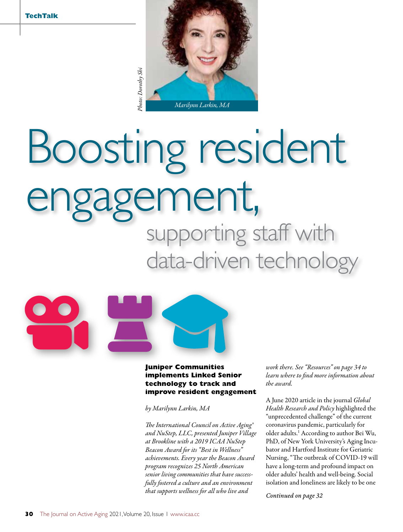

# Boosting resident engagement,<br>supporting staff with

data-driven technology



# **Juniper Communities implements Linked Senior technology to track and improve resident engagement**

*by Marilynn Larkin, MA*

*The International Council on Active Aging® and NuStep, LLC, presented Juniper Village at Brookline with a 2019 ICAA NuStep Beacon Award for its "Best in Wellness" achievements. Every year the Beacon Award program recognizes 25 North American senior living communities that have successfully fostered a culture and an environment that supports wellness for all who live and* 

*work there. See "Resources" on page 34 to learn where to find more information about the award.*

A June 2020 article in the journal *Global Health Research and Policy* highlighted the "unprecedented challenge" of the current coronavirus pandemic, particularly for older adults.1 According to author Bei Wu, PhD, of New York University's Aging Incubator and Hartford Institute for Geriatric Nursing, "The outbreak of COVID-19 will have a long-term and profound impact on older adults' health and well-being. Social isolation and loneliness are likely to be one

*Continued on page 32*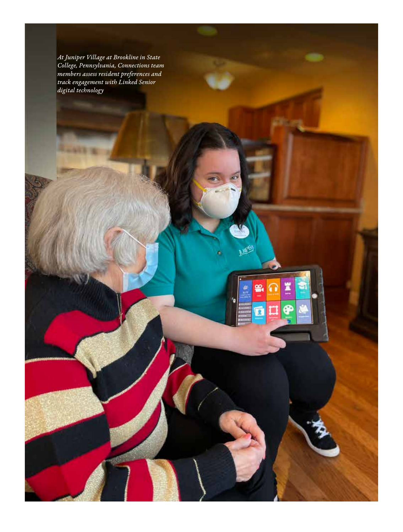*At Juniper Village at Brookline in State College, Pennsylvania, Connections team members assess resident preferences and track engagement with Linked Senior digital technology*

> æ. ä

> > ÿ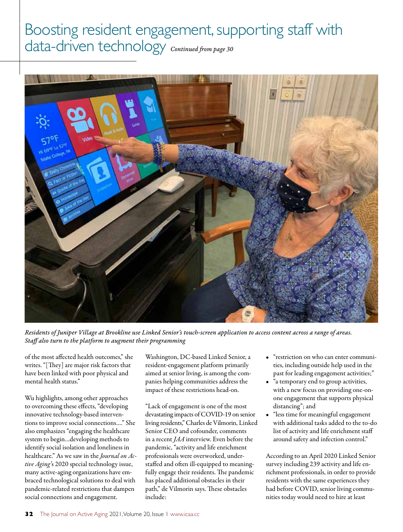# Boosting resident engagement, supporting staff with data-driven technology *Continued from page 30*



*Residents of Juniper Village at Brookline use Linked Senior's touch-screen application to access content across a range of areas. Staff also turn to the platform to augment their programming*

of the most affected health outcomes," she writes. "[They] are major risk factors that have been linked with poor physical and mental health status."

Wu highlights, among other approaches to overcoming these effects, "developing innovative technology-based interventions to improve social connections…." She also emphasizes "engaging the healthcare system to begin…developing methods to identify social isolation and loneliness in healthcare." As we saw in the *Journal on Active Aging'*s 2020 special technology issue, many active-aging organizations have embraced technological solutions to deal with pandemic-related restrictions that dampen social connections and engagement.

Washington, DC-based Linked Senior, a resident-engagement platform primarily aimed at senior living, is among the companies helping communities address the impact of these restrictions head-on.

"Lack of engagement is one of the most devastating impacts of COVID-19 on senior living residents," Charles de Vilmorin, Linked Senior CEO and cofounder, comments in a recent *JAA* interview. Even before the pandemic, "activity and life enrichment professionals were overworked, understaffed and often ill-equipped to meaningfully engage their residents. The pandemic has placed additional obstacles in their path," de Vilmorin says. These obstacles include:

- "restriction on who can enter communities, including outside help used in the past for leading engagement activities;"
- "a temporary end to group activities, with a new focus on providing one-onone engagement that supports physical distancing"; and
- "less time for meaningful engagement with additional tasks added to the to-do list of activity and life enrichment staff around safety and infection control."

According to an April 2020 Linked Senior survey including 239 activity and life enrichment professionals, in order to provide residents with the same experiences they had before COVID, senior living communities today would need to hire at least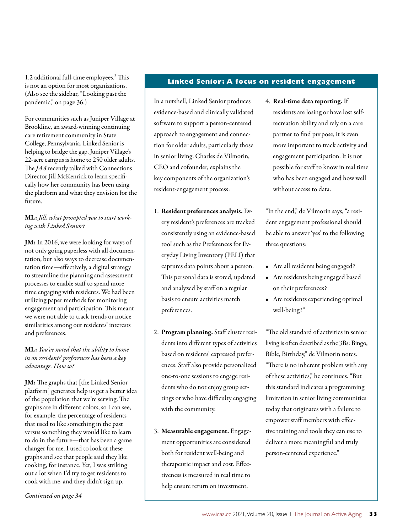1.2 additional full-time employees.2 This is not an option for most organizations. (Also see the sidebar, "Looking past the pandemic," on page 36.)

For communities such as Juniper Village at Brookline, an award-winning continuing care retirement community in State College, Pennsylvania, Linked Senior is helping to bridge the gap. Juniper Village's 22-acre campus is home to 250 older adults. The *JAA* recently talked with Connections Director Jill McKenrick to learn specifically how her community has been using the platform and what they envision for the future.

# ML: *Jill, what prompted you to start working with Linked Senior?*

JM: In 2016, we were looking for ways of not only going paperless with all documentation, but also ways to decrease documentation time—effectively, a digital strategy to streamline the planning and assessment processes to enable staff to spend more time engaging with residents. We had been utilizing paper methods for monitoring engagement and participation. This meant we were not able to track trends or notice similarities among our residents' interests and preferences.

# ML: *You've noted that the ability to home in on residents' preferences has been a key advantage. How so?*

JM: The graphs that [the Linked Senior platform] generates help us get a better idea of the population that we're serving. The graphs are in different colors, so I can see, for example, the percentage of residents that used to like something in the past versus something they would like to learn to do in the future—that has been a game changer for me. I used to look at these graphs and see that people said they like cooking, for instance. Yet, I was striking out a lot when I'd try to get residents to cook with me, and they didn't sign up.

### **Linked Senior: A focus on resident engagement**

In a nutshell, Linked Senior produces evidence-based and clinically validated software to support a person-centered approach to engagement and connection for older adults, particularly those in senior living. Charles de Vilmorin, CEO and cofounder, explains the key components of the organization's resident-engagement process:

- 1. Resident preferences analysis. Every resident's preferences are tracked consistently using an evidence-based tool such as the Preferences for Everyday Living Inventory (PELI) that captures data points about a person. This personal data is stored, updated and analyzed by staff on a regular basis to ensure activities match preferences.
- 2. Program planning. Staff cluster residents into different types of activities based on residents' expressed preferences. Staff also provide personalized one-to-one sessions to engage residents who do not enjoy group settings or who have difficulty engaging with the community.
- 3. Measurable engagement. Engagement opportunities are considered both for resident well-being and therapeutic impact and cost. Effectiveness is measured in real time to help ensure return on investment.

4. Real-time data reporting. If residents are losing or have lost selfrecreation ability and rely on a care partner to find purpose, it is even more important to track activity and engagement participation. It is not possible for staff to know in real time who has been engaged and how well without access to data.

"In the end," de Vilmorin says, "a resident engagement professional should be able to answer 'yes' to the following three questions:

- Are all residents being engaged?
- Are residents being engaged based on their preferences?
- Are residents experiencing optimal well-being?"

"The old standard of activities in senior living is often described as the 3Bs: Bingo, Bible, Birthday," de Vilmorin notes. "There is no inherent problem with any of these activities," he continues. "But this standard indicates a programming limitation in senior living communities today that originates with a failure to empower staff members with effective training and tools they can use to deliver a more meaningful and truly person-centered experience."

*Continued on page 34*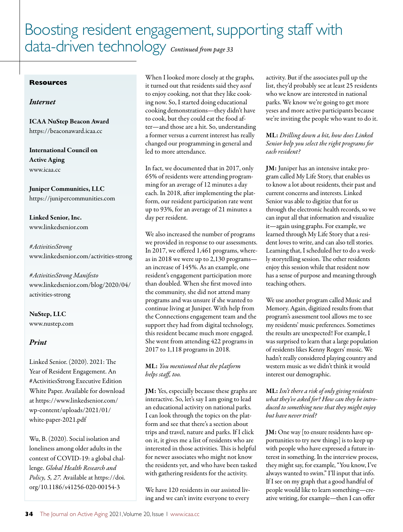# Boosting resident engagement, supporting staff with data-driven technology *Continued from page 33*

#### **Resources**

### *Internet*

ICAA NuStep Beacon Award https://beaconaward.icaa.cc

International Council on Active Aging www.icaa.cc

Juniper Communities, LLC https://junipercommunities.com

Linked Senior, Inc. www.linkedsenior.com

*#ActivitiesStrong* www.linkedsenior.com/activities-strong

*#ActivitiesStrong Manifesto* www.linkedsenior.com/blog/2020/04/ activities-strong

NuStep, LLC www.nustep.com

# *Print*

Linked Senior. (2020). 2021: The Year of Resident Engagement. An #ActivitiesStrong Executive Edition White Paper. Available for download at https://www.linkedsenior.com/ wp-content/uploads/2021/01/ white-paper-2021.pdf

Wu, B. (2020). Social isolation and loneliness among older adults in the context of COVID-19: a global challenge. *Global Health Research and Policy, 5, 27.* Available at https://doi. org/10.1186/s41256-020-00154-3

When I looked more closely at the graphs, it turned out that residents said they *used* to enjoy cooking, not that they like cooking now. So, I started doing educational cooking demonstrations—they didn't have to cook, but they could eat the food after—and those are a hit. So, understanding a former versus a current interest has really changed our programming in general and led to more attendance.

In fact, we documented that in 2017, only 65% of residents were attending programming for an average of 12 minutes a day each. In 2018, after implementing the platform, our resident participation rate went up to 93%, for an average of 21 minutes a day per resident.

We also increased the number of programs we provided in response to our assessments. In 2017, we offered 1,461 programs, whereas in 2018 we were up to 2,130 programs an increase of 145%. As an example, one resident's engagement participation more than doubled. When she first moved into the community, she did not attend many programs and was unsure if she wanted to continue living at Juniper. With help from the Connections engagement team and the support they had from digital technology, this resident became much more engaged. She went from attending 422 programs in 2017 to 1,118 programs in 2018.

# ML: *You mentioned that the platform helps staff, too.*

JM: Yes, especially because these graphs are interactive. So, let's say I am going to lead an educational activity on national parks. I can look through the topics on the platform and see that there's a section about trips and travel, nature and parks. If I click on it, it gives me a list of residents who are interested in those activities. This is helpful for newer associates who might not know the residents yet, and who have been tasked with gathering residents for the activity.

We have 120 residents in our assisted living and we can't invite everyone to every

activity. But if the associates pull up the list, they'd probably see at least 25 residents who we know are interested in national parks. We know we're going to get more yeses and more active participants because we're inviting the people who want to do it.

# ML: *Drilling down a bit, how does Linked Senior help you select the right programs for each resident?*

JM: Juniper has an intensive intake program called My Life Story, that enables us to know a lot about residents, their past and current concerns and interests. Linked Senior was able to digitize that for us through the electronic health records, so we can input all that information and visualize it—again using graphs. For example, we learned through My Life Story that a resident loves to write, and can also tell stories. Learning that, I scheduled her to do a weekly storytelling session. The other residents enjoy this session while that resident now has a sense of purpose and meaning through teaching others.

We use another program called Music and Memory. Again, digitized results from that program's assessment tool allows me to see my residents' music preferences. Sometimes the results are unexpected! For example, I was surprised to learn that a large population of residents likes Kenny Rogers' music. We hadn't really considered playing country and western music as we didn't think it would interest our demographic.

# ML: *Isn't there a risk of only giving residents what they've asked for? How can they be introduced to something new that they might enjoy but have never tried?*

JM: One way [to ensure residents have opportunities to try new things] is to keep up with people who have expressed a future interest in something. In the interview process, they might say, for example, "You know, I've always wanted to swim." I'll input that info. If I see on my graph that a good handful of people would like to learn something—creative writing, for example—then I can offer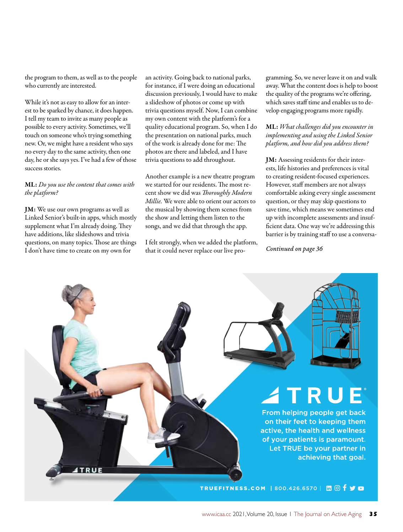the program to them, as well as to the people who currently are interested.

While it's not as easy to allow for an interest to be sparked by chance, it does happen. I tell my team to invite as many people as possible to every activity. Sometimes, we'll touch on someone who's trying something new. Or, we might have a resident who says no every day to the same activity, then one day, he or she says yes. I've had a few of those success stories.

#### ML: *Do you use the content that comes with the platform?*

JM: We use our own programs as well as Linked Senior's built-in apps, which mostly supplement what I'm already doing. They have additions, like slideshows and trivia questions, on many topics. Those are things I don't have time to create on my own for

an activity. Going back to national parks, for instance, if I were doing an educational discussion previously, I would have to make a slideshow of photos or come up with trivia questions myself. Now, I can combine my own content with the platform's for a quality educational program. So, when I do the presentation on national parks, much of the work is already done for me: The photos are there and labeled, and I have trivia questions to add throughout.

Another example is a new theatre program we started for our residents. The most recent show we did was *Thoroughly Modern Millie.* We were able to orient our actors to the musical by showing them scenes from the show and letting them listen to the songs, and we did that through the app.

I felt strongly, when we added the platform, that it could never replace our live programming. So, we never leave it on and walk away. What the content does is help to boost the quality of the programs we're offering, which saves staff time and enables us to develop engaging programs more rapidly.

# ML: *What challenges did you encounter in implementing and using the Linked Senior platform, and how did you address them?*

JM: Assessing residents for their interests, life histories and preferences is vital to creating resident-focused experiences. However, staff members are not always comfortable asking every single assessment question, or they may skip questions to save time, which means we sometimes end up with incomplete assessments and insufficient data. One way we're addressing this barrier is by training staff to use a conversa-

*Continued on page 36*